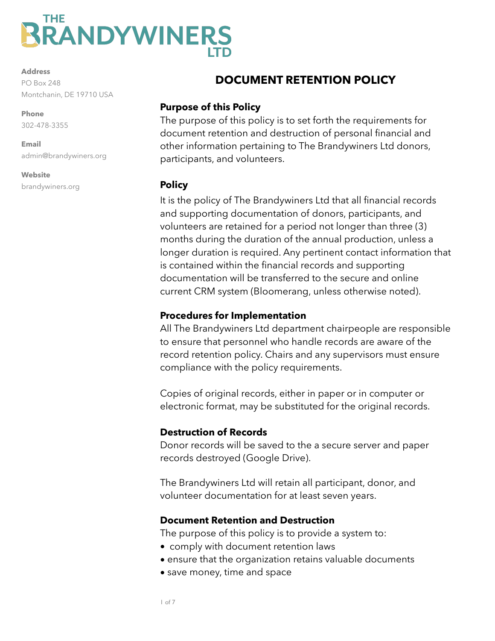# **BRANDYWINERS**

**Address**

PO Box 248 Montchanin, DE 19710 USA

**Phone**  302-478-3355

**Email**  admin@brandywiners.org

**Website** brandywiners.org

## **DOCUMENT RETENTION POLICY**

#### **Purpose of this Policy**

The purpose of this policy is to set forth the requirements for document retention and destruction of personal financial and other information pertaining to The Brandywiners Ltd donors, participants, and volunteers.

#### **Policy**

It is the policy of The Brandywiners Ltd that all financial records and supporting documentation of donors, participants, and volunteers are retained for a period not longer than three (3) months during the duration of the annual production, unless a longer duration is required. Any pertinent contact information that is contained within the financial records and supporting documentation will be transferred to the secure and online current CRM system (Bloomerang, unless otherwise noted).

## **Procedures for Implementation**

All The Brandywiners Ltd department chairpeople are responsible to ensure that personnel who handle records are aware of the record retention policy. Chairs and any supervisors must ensure compliance with the policy requirements.

Copies of original records, either in paper or in computer or electronic format, may be substituted for the original records.

## **Destruction of Records**

Donor records will be saved to the a secure server and paper records destroyed (Google Drive).

The Brandywiners Ltd will retain all participant, donor, and volunteer documentation for at least seven years.

## **Document Retention and Destruction**

The purpose of this policy is to provide a system to:

- comply with document retention laws
- ensure that the organization retains valuable documents
- save money, time and space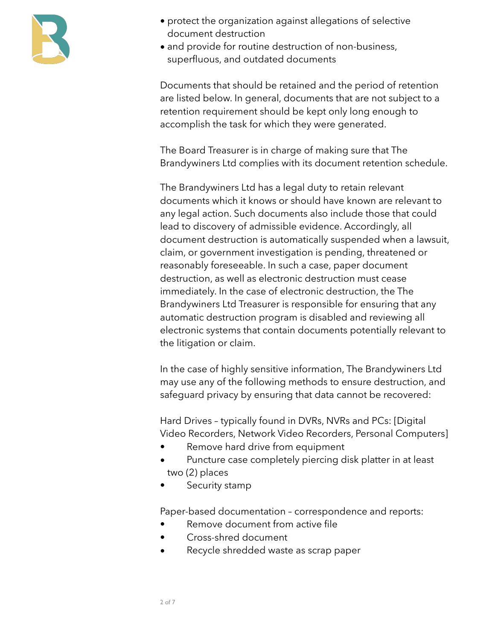

- protect the organization against allegations of selective document destruction
- and provide for routine destruction of non-business, superfluous, and outdated documents

Documents that should be retained and the period of retention are listed below. In general, documents that are not subject to a retention requirement should be kept only long enough to accomplish the task for which they were generated.

The Board Treasurer is in charge of making sure that The Brandywiners Ltd complies with its document retention schedule.

The Brandywiners Ltd has a legal duty to retain relevant documents which it knows or should have known are relevant to any legal action. Such documents also include those that could lead to discovery of admissible evidence. Accordingly, all document destruction is automatically suspended when a lawsuit, claim, or government investigation is pending, threatened or reasonably foreseeable. In such a case, paper document destruction, as well as electronic destruction must cease immediately. In the case of electronic destruction, the The Brandywiners Ltd Treasurer is responsible for ensuring that any automatic destruction program is disabled and reviewing all electronic systems that contain documents potentially relevant to the litigation or claim.

In the case of highly sensitive information, The Brandywiners Ltd may use any of the following methods to ensure destruction, and safeguard privacy by ensuring that data cannot be recovered:

Hard Drives – typically found in DVRs, NVRs and PCs: [Digital Video Recorders, Network Video Recorders, Personal Computers]

- Remove hard drive from equipment
- Puncture case completely piercing disk platter in at least two (2) places
- Security stamp

Paper-based documentation – correspondence and reports:

- Remove document from active file
- Cross-shred document
- Recycle shredded waste as scrap paper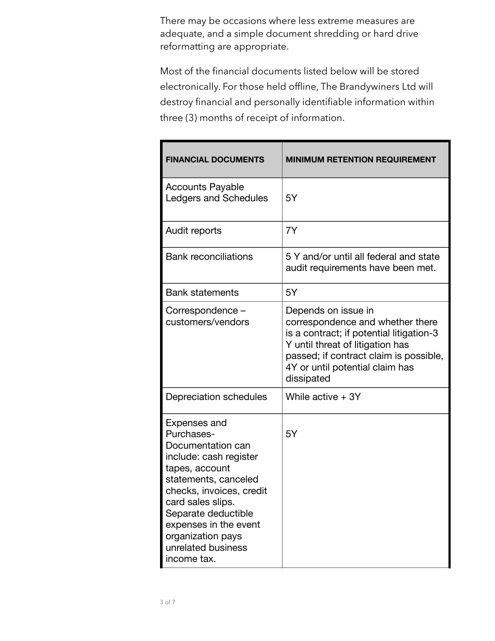There may be occasions where less extreme measures are adequate, and a simple document shredding or hard drive reformatting are appropriate.

Most of the financial documents listed below will be stored electronically. For those held offline, The Brandywiners Ltd will destroy financial and personally identifiable information within three (3) months of receipt of information.

| <b>FINANCIAL DOCUMENTS</b>                                                                                                                                                                                                                                                    | <b>MINIMUM RETENTION REQUIREMENT</b>                                                                                                                                                                                               |
|-------------------------------------------------------------------------------------------------------------------------------------------------------------------------------------------------------------------------------------------------------------------------------|------------------------------------------------------------------------------------------------------------------------------------------------------------------------------------------------------------------------------------|
| <b>Accounts Payable</b><br><b>Ledgers and Schedules</b>                                                                                                                                                                                                                       | 5Y                                                                                                                                                                                                                                 |
| Audit reports                                                                                                                                                                                                                                                                 | 7Y                                                                                                                                                                                                                                 |
| <b>Bank reconciliations</b>                                                                                                                                                                                                                                                   | 5 Y and/or until all federal and state<br>audit requirements have been met.                                                                                                                                                        |
| <b>Bank statements</b>                                                                                                                                                                                                                                                        | 5Y                                                                                                                                                                                                                                 |
| Correspondence -<br>customers/vendors                                                                                                                                                                                                                                         | Depends on issue in<br>correspondence and whether there<br>is a contract; if potential litigation-3<br>Y until threat of litigation has<br>passed; if contract claim is possible,<br>4Y or until potential claim has<br>dissipated |
| Depreciation schedules                                                                                                                                                                                                                                                        | While active $+ 3Y$                                                                                                                                                                                                                |
| Expenses and<br>Purchases-<br>Documentation can<br>include: cash register<br>tapes, account<br>statements, canceled<br>checks, invoices, credit<br>card sales slips<br>Separate deductible<br>expenses in the event<br>organization pays<br>unrelated business<br>income tax. | 5Y                                                                                                                                                                                                                                 |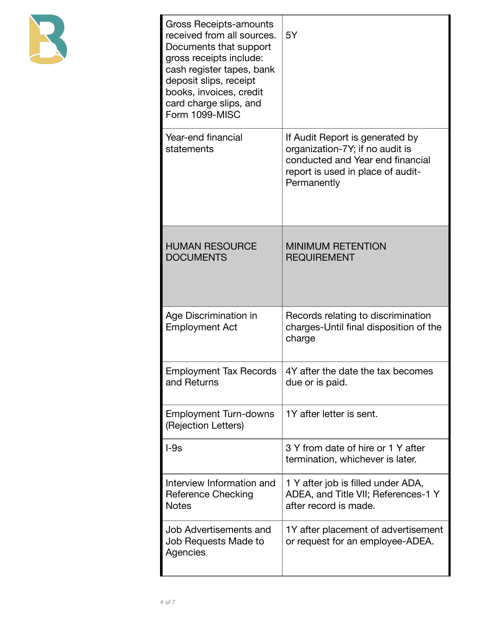

| <b>Gross Receipts-amounts</b><br>received from all sources.<br>Documents that support<br>gross receipts include:<br>cash register tapes, bank<br>deposit slips, receipt<br>books, invoices, credit<br>card charge slips, and<br>Form 1099-MISC | 5Y                                                                                                                                                         |
|------------------------------------------------------------------------------------------------------------------------------------------------------------------------------------------------------------------------------------------------|------------------------------------------------------------------------------------------------------------------------------------------------------------|
| Year-end financial<br>statements                                                                                                                                                                                                               | If Audit Report is generated by<br>organization-7Y; if no audit is<br>conducted and Year end financial<br>report is used in place of audit-<br>Permanently |
| <b>HUMAN RESOURCE</b><br><b>DOCUMENTS</b>                                                                                                                                                                                                      | <b>MINIMUM RETENTION</b><br><b>REQUIREMENT</b>                                                                                                             |
| Age Discrimination in<br><b>Employment Act</b>                                                                                                                                                                                                 | Records relating to discrimination<br>charges-Until final disposition of the<br>charge                                                                     |
| Employment Tax Records<br>and Returns                                                                                                                                                                                                          | 4Y after the date the tax becomes<br>due or is paid.                                                                                                       |
| <b>Employment Turn-downs</b><br>(Rejection Letters)                                                                                                                                                                                            | 1Y after letter is sent.                                                                                                                                   |
| $-9s$                                                                                                                                                                                                                                          | 3 Y from date of hire or 1 Y after<br>termination, whichever is later.                                                                                     |
| Interview Information and<br><b>Reference Checking</b><br><b>Notes</b>                                                                                                                                                                         | 1 Y after job is filled under ADA,<br>ADEA, and Title VII; References-1 Y<br>after record is made.                                                         |
| Job Advertisements and<br>Job Requests Made to<br>Agencies                                                                                                                                                                                     | 1Y after placement of advertisement<br>or request for an employee-ADEA.                                                                                    |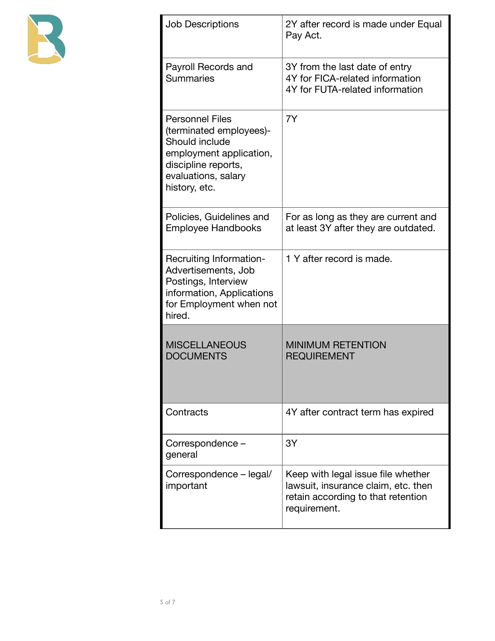

| <b>Job Descriptions</b>                                                                                                                                       | 2Y after record is made under Equal<br>Pay Act.                                                                                 |
|---------------------------------------------------------------------------------------------------------------------------------------------------------------|---------------------------------------------------------------------------------------------------------------------------------|
| Payroll Records and<br><b>Summaries</b>                                                                                                                       | 3Y from the last date of entry<br>4Y for FICA-related information<br>4Y for FUTA-related information                            |
| <b>Personnel Files</b><br>(terminated employees)-<br>Should include<br>employment application,<br>discipline reports,<br>evaluations, salary<br>history, etc. | 7Y                                                                                                                              |
| Policies, Guidelines and<br><b>Employee Handbooks</b>                                                                                                         | For as long as they are current and<br>at least 3Y after they are outdated.                                                     |
| Recruiting Information-<br>Advertisements, Job<br>Postings, Interview<br>information, Applications<br>for Employment when not<br>hired.                       | 1 Y after record is made.                                                                                                       |
| <b>MISCELLANEOUS</b><br><b>DOCUMENTS</b>                                                                                                                      | <b>MINIMUM RETENTION</b><br><b>REQUIREMENT</b>                                                                                  |
| Contracts                                                                                                                                                     | 4Y after contract term has expired                                                                                              |
| Correspondence -<br>general                                                                                                                                   | 3Y                                                                                                                              |
| Correspondence - legal/<br>important                                                                                                                          | Keep with legal issue file whether<br>lawsuit, insurance claim, etc. then<br>retain according to that retention<br>requirement. |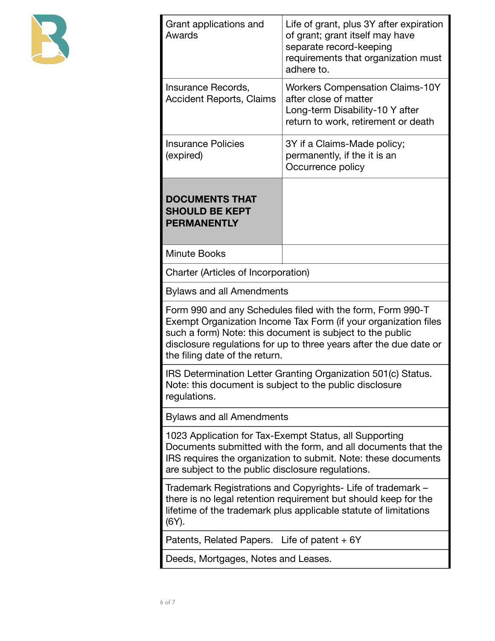

| Grant applications and<br>Awards                                                                                                                                                                                                                                                                   | Life of grant, plus 3Y after expiration<br>of grant; grant itself may have<br>separate record-keeping<br>requirements that organization must<br>adhere to.                                         |  |  |
|----------------------------------------------------------------------------------------------------------------------------------------------------------------------------------------------------------------------------------------------------------------------------------------------------|----------------------------------------------------------------------------------------------------------------------------------------------------------------------------------------------------|--|--|
| Insurance Records,<br><b>Accident Reports, Claims</b>                                                                                                                                                                                                                                              | <b>Workers Compensation Claims-10Y</b><br>after close of matter<br>Long-term Disability-10 Y after<br>return to work, retirement or death                                                          |  |  |
| <b>Insurance Policies</b><br>(expired)                                                                                                                                                                                                                                                             | 3Y if a Claims-Made policy;<br>permanently, if the it is an<br>Occurrence policy                                                                                                                   |  |  |
| <b>DOCUMENTS THAT</b><br><b>SHOULD BE KEPT</b><br><b>PERMANENTLY</b>                                                                                                                                                                                                                               |                                                                                                                                                                                                    |  |  |
| <b>Minute Books</b>                                                                                                                                                                                                                                                                                |                                                                                                                                                                                                    |  |  |
| Charter (Articles of Incorporation)                                                                                                                                                                                                                                                                |                                                                                                                                                                                                    |  |  |
| <b>Bylaws and all Amendments</b>                                                                                                                                                                                                                                                                   |                                                                                                                                                                                                    |  |  |
| Form 990 and any Schedules filed with the form, Form 990-T<br>Exempt Organization Income Tax Form (if your organization files<br>such a form) Note: this document is subject to the public<br>disclosure regulations for up to three years after the due date or<br>the filing date of the return. |                                                                                                                                                                                                    |  |  |
| IRS Determination Letter Granting Organization 501(c) Status.<br>Note: this document is subject to the public disclosure<br>regulations.                                                                                                                                                           |                                                                                                                                                                                                    |  |  |
| <b>Bylaws and all Amendments</b>                                                                                                                                                                                                                                                                   |                                                                                                                                                                                                    |  |  |
| 1023 Application for Tax-Exempt Status, all Supporting<br>Documents submitted with the form, and all documents that the<br>IRS requires the organization to submit. Note: these documents<br>are subject to the public disclosure regulations.                                                     |                                                                                                                                                                                                    |  |  |
| $(6Y)$ .                                                                                                                                                                                                                                                                                           | Trademark Registrations and Copyrights- Life of trademark -<br>there is no legal retention requirement but should keep for the<br>lifetime of the trademark plus applicable statute of limitations |  |  |
| Patents, Related Papers. Life of patent $+6Y$                                                                                                                                                                                                                                                      |                                                                                                                                                                                                    |  |  |
|                                                                                                                                                                                                                                                                                                    | Deeds, Mortgages, Notes and Leases.                                                                                                                                                                |  |  |